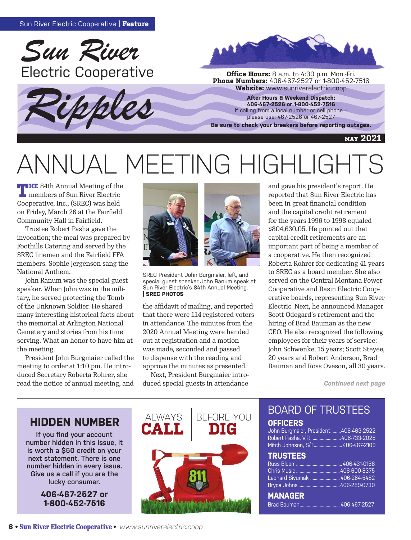





**Phone Numbers:** 406-467-2527 or 1-800-452-7516<br>**Website:** www.sunriverelectric.coop

**After Hours & Weekend Dispatch: 406-467-2526 or 1-800-452-7516** If calling from a local number or cell phone – please use: 467-2526 or 467-2527

**Be sure to check your breakers before reporting outages.**

#### **may 2021**

# ANNUAL MEETING HIGHLIGHTS

**THE** 84th Annual Meeting of the members of Sun River Electric Cooperative, Inc., (SREC) was held on Friday, March 26 at the Fairfield Community Hall in Fairfield.

Trustee Robert Pasha gave the invocation; the meal was prepared by Foothills Catering and served by the SREC linemen and the Fairfield FFA members. Sophie Jergenson sang the National Anthem.

John Ranum was the special guest speaker. When John was in the military, he served protecting the Tomb of the Unknown Soldier. He shared many interesting historical facts about the memorial at Arlington National Cemetery and stories from his time serving. What an honor to have him at the meeting.

President John Burgmaier called the meeting to order at 1:10 pm. He introduced Secretary Roberta Rohrer, she read the notice of annual meeting, and



SREC President John Burgmaier, left, and special guest speaker John Ranum speak at Sun River Electric's 84th Annual Meeting. **| SREC PHOTOS**

the affidavit of mailing, and reported that there were 114 registered voters in attendance. The minutes from the 2020 Annual Meeting were handed out at registration and a motion was made, seconded and passed to dispense with the reading and approve the minutes as presented.

Next, President Burgmaier introduced special guests in attendance



reported that Sun River Electric has been in great financial condition and the capital credit retirement for the years 1996 to 1998 equaled \$804,630.05. He pointed out that capital credit retirements are an important part of being a member of a cooperative. He then recognized Roberta Rohrer for dedicating 41 years to SREC as a board member. She also served on the Central Montana Power Cooperative and Basin Electric Cooperative boards, representing Sun River Electric. Next, he announced Manager Scott Odegard's retirement and the hiring of Brad Bauman as the new CEO. He also recognized the following employees for their years of service: John Schwenke, 15 years; Scott Steyee, 20 years and Robert Anderson, Brad Bauman and Ross Oveson, all 30 years.

*Continued next page*

## **HIDDEN NUMBER ALWAYS**

**If you find your account number hidden in this issue, it is worth a \$50 credit on your next statement. There is one number hidden in every issue. Give us a call if you are the lucky consumer.** 

> **406-467-2527 or 1-800-452-7516**



#### BOARD OF TRUSTEES **OFFICERS**

John Burgmaier, President.........406-463-2522 Robert Pasha, V.P. ........................406-733-2028 Mitch Johnson, S/T........................406-467-2109

#### **TRUSTEES**

| .                              |  |
|--------------------------------|--|
|                                |  |
|                                |  |
| Leonard Sivumaki  406-264-5482 |  |
|                                |  |
| <b>MANAGER</b>                 |  |
|                                |  |
|                                |  |